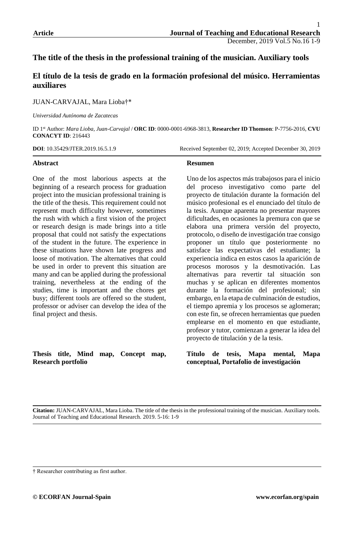# **The title of the thesis in the professional training of the musician. Auxiliary tools**

# **El título de la tesis de grado en la formación profesional del músico. Herramientas auxiliares**

JUAN-CARVAJAL, Mara Lioba†\*

*Universidad Autónoma de Zacatecas*

ID 1 st Author: *Mara Lioba, Juan-Carvajal* / **ORC ID**: 0000-0001-6968-3813, **Researcher ID Thomson**: P-7756-2016, **CVU CONACYT ID**: 216443

**DOI**: 10.35429/JTER.2019.16.5.1.9 Received September 02, 2019; Accepted December 30, 2019

### **Abstract**

One of the most laborious aspects at the beginning of a research process for graduation project into the musician professional training is the title of the thesis. This requirement could not represent much difficulty however, sometimes the rush with which a first vision of the project or research design is made brings into a title proposal that could not satisfy the expectations of the student in the future. The experience in these situations have shown late progress and loose of motivation. The alternatives that could be used in order to prevent this situation are many and can be applied during the professional training, nevertheless at the ending of the studies, time is important and the chores get busy; different tools are offered so the student, professor or adviser can develop the idea of the final project and thesis.

**Thesis title, Mind map, Concept map, Research portfolio**

### **Resumen**

Uno de los aspectos más trabajosos para el inicio del proceso investigativo como parte del proyecto de titulación durante la formación del músico profesional es el enunciado del título de la tesis. Aunque aparenta no presentar mayores dificultades, en ocasiones la premura con que se elabora una primera versión del proyecto, protocolo, o diseño de investigación trae consigo proponer un título que posteriormente no satisface las expectativas del estudiante; la experiencia indica en estos casos la aparición de procesos morosos y la desmotivación. Las alternativas para revertir tal situación son muchas y se aplican en diferentes momentos durante la formación del profesional; sin embargo, en la etapa de culminación de estudios, el tiempo apremia y los procesos se aglomeran; con este fin, se ofrecen herramientas que pueden emplearse en el momento en que estudiante, profesor y tutor, comienzan a generar la idea del proyecto de titulación y de la tesis.

**Título de tesis, Mapa mental, Mapa conceptual, Portafolio de investigación**

<sup>†</sup> Researcher contributing as first author.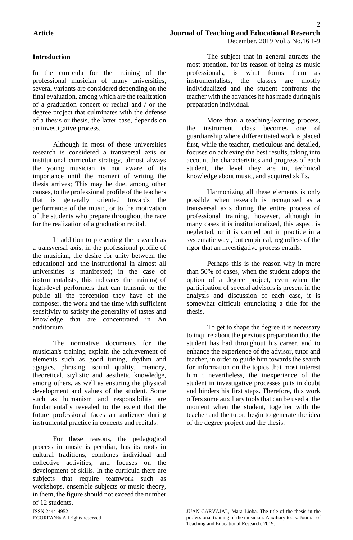## **Introduction**

In the curricula for the training of the professional musician of many universities, several variants are considered depending on the final evaluation, among which are the realization of a graduation concert or recital and / or the degree project that culminates with the defense of a thesis or thesis, the latter case, depends on an investigative process.

Although in most of these universities research is considered a transversal axis or institutional curricular strategy, almost always the young musician is not aware of its importance until the moment of writing the thesis arrives; This may be due, among other causes, to the professional profile of the teachers that is generally oriented towards the performance of the music, or to the motivation of the students who prepare throughout the race for the realization of a graduation recital.

In addition to presenting the research as a transversal axis, in the professional profile of the musician, the desire for unity between the educational and the instructional in almost all universities is manifested; in the case of instrumentalists, this indicates the training of high-level performers that can transmit to the public all the perception they have of the composer, the work and the time with sufficient sensitivity to satisfy the generality of tastes and knowledge that are concentrated in An auditorium.

The normative documents for the musician's training explain the achievement of elements such as good tuning, rhythm and agogics, phrasing, sound quality, memory, theoretical, stylistic and aesthetic knowledge, among others, as well as ensuring the physical development and values of the student. Some such as humanism and responsibility are fundamentally revealed to the extent that the future professional faces an audience during instrumental practice in concerts and recitals.

For these reasons, the pedagogical process in music is peculiar, has its roots in cultural traditions, combines individual and collective activities, and focuses on the development of skills. In the curricula there are subjects that require teamwork such as workshops, ensemble subjects or music theory, in them, the figure should not exceed the number of 12 students.

The subject that in general attracts the most attention, for its reason of being as music professionals, is what forms them as instrumentalists, the classes are mostly individualized and the student confronts the teacher with the advances he has made during his preparation individual.

More than a teaching-learning process, the instrument class becomes one of guardianship where differentiated work is placed first, while the teacher, meticulous and detailed, focuses on achieving the best results, taking into account the characteristics and progress of each student, the level they are in, technical knowledge about music, and acquired skills.

Harmonizing all these elements is only possible when research is recognized as a transversal axis during the entire process of professional training, however, although in many cases it is institutionalized, this aspect is neglected, or it is carried out in practice in a systematic way , but empirical, regardless of the rigor that an investigative process entails.

Perhaps this is the reason why in more than 50% of cases, when the student adopts the option of a degree project, even when the participation of several advisors is present in the analysis and discussion of each case, it is somewhat difficult enunciating a title for the thesis.

To get to shape the degree it is necessary to inquire about the previous preparation that the student has had throughout his career, and to enhance the experience of the advisor, tutor and teacher, in order to guide him towards the search for information on the topics that most interest him ; nevertheless, the inexperience of the student in investigative processes puts in doubt and hinders his first steps. Therefore, this work offers some auxiliary tools that can be used at the moment when the student, together with the teacher and the tutor, begin to generate the idea of the degree project and the thesis.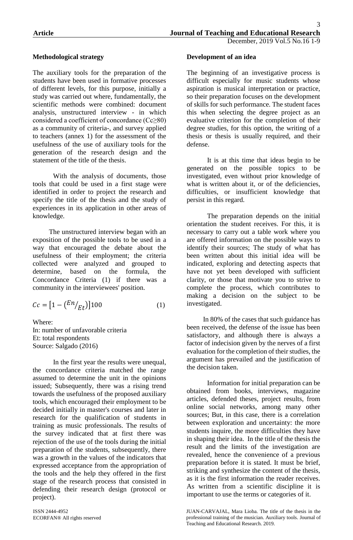## **Methodological strategy**

The auxiliary tools for the preparation of the students have been used in formative processes of different levels, for this purpose, initially a study was carried out where, fundamentally, the scientific methods were combined: document analysis, unstructured interview - in which considered a coefficient of concordance  $(Cc \geq 80)$ as a community of criteria-, and survey applied to teachers (annex 1) for the assessment of the usefulness of the use of auxiliary tools for the generation of the research design and the statement of the title of the thesis.

With the analysis of documents, those tools that could be used in a first stage were identified in order to project the research and specify the title of the thesis and the study of experiences in its application in other areas of knowledge.

The unstructured interview began with an exposition of the possible tools to be used in a way that encouraged the debate about the usefulness of their employment; the criteria collected were analyzed and grouped to determine, based on the formula, the Concordance Criteria (1) if there was a community in the interviewees' position.

$$
Cc = \left[1 - \left(\frac{En}{Et}\right)\right]100\tag{1}
$$

Where: In: number of unfavorable criteria Et: total respondents Source: Salgado (2016)

In the first year the results were unequal, the concordance criteria matched the range assumed to determine the unit in the opinions issued; Subsequently, there was a rising trend towards the usefulness of the proposed auxiliary tools, which encouraged their employment to be decided initially in master's courses and later in research for the qualification of students in training as music professionals. The results of the survey indicated that at first there was rejection of the use of the tools during the initial preparation of the students, subsequently, there was a growth in the values of the indicators that expressed acceptance from the appropriation of the tools and the help they offered in the first stage of the research process that consisted in defending their research design (protocol or project).

## **Development of an idea**

The beginning of an investigative process is difficult especially for music students whose aspiration is musical interpretation or practice, so their preparation focuses on the development of skills for such performance. The student faces this when selecting the degree project as an evaluative criterion for the completion of their degree studies, for this option, the writing of a thesis or thesis is usually required, and their defense.

It is at this time that ideas begin to be generated on the possible topics to be investigated, even without prior knowledge of what is written about it, or of the deficiencies. difficulties, or insufficient knowledge that persist in this regard.

The preparation depends on the initial orientation the student receives. For this, it is necessary to carry out a table work where you are offered information on the possible ways to identify their sources; The study of what has been written about this initial idea will be indicated, exploring and detecting aspects that have not yet been developed with sufficient clarity, or those that motivate you to strive to complete the process, which contributes to making a decision on the subject to be investigated.

In 80% of the cases that such guidance has been received, the defense of the issue has been satisfactory, and although there is always a factor of indecision given by the nerves of a first evaluation for the completion of their studies, the argument has prevailed and the justification of the decision taken.

Information for initial preparation can be obtained from books, interviews, magazine articles, defended theses, project results, from online social networks, among many other sources; But, in this case, there is a correlation between exploration and uncertainty: the more students inquire, the more difficulties they have in shaping their idea. In the title of the thesis the result and the limits of the investigation are revealed, hence the convenience of a previous preparation before it is stated. It must be brief, striking and synthesize the content of the thesis, as it is the first information the reader receives. As written from a scientific discipline it is important to use the terms or categories of it.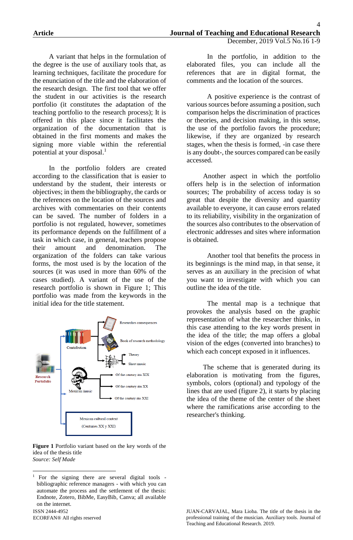A variant that helps in the formulation of the degree is the use of auxiliary tools that, as learning techniques, facilitate the procedure for the enunciation of the title and the elaboration of the research design. The first tool that we offer the student in our activities is the research portfolio (it constitutes the adaptation of the teaching portfolio to the research process); It is offered in this place since it facilitates the organization of the documentation that is obtained in the first moments and makes the signing more viable within the referential potential at your disposal.<sup>1</sup>

In the portfolio folders are created according to the classification that is easier to understand by the student, their interests or objectives; in them the bibliography, the cards or the references on the location of the sources and archives with commentaries on their contents can be saved. The number of folders in a portfolio is not regulated, however, sometimes its performance depends on the fulfillment of a task in which case, in general, teachers propose their amount and denomination. The organization of the folders can take various forms, the most used is by the location of the sources (it was used in more than 60% of the cases studied). A variant of the use of the research portfolio is shown in Figure 1; This portfolio was made from the keywords in the initial idea for the title statement.



#### **Figure 1** Portfolio variant based on the key words of the idea of the thesis title *Source: Self Made*

ISSN 2444-4952 ECORFAN® All rights reserved

In the portfolio, in addition to the elaborated files, you can include all the references that are in digital format, the comments and the location of the sources.

A positive experience is the contrast of various sources before assuming a position, such comparison helps the discrimination of practices or theories, and decision making, in this sense, the use of the portfolio favors the procedure; likewise, if they are organized by research stages, when the thesis is formed, -in case there is any doubt-, the sources compared can be easily accessed.

Another aspect in which the portfolio offers help is in the selection of information sources; The probability of access today is so great that despite the diversity and quantity available to everyone, it can cause errors related to its reliability, visibility in the organization of the sources also contributes to the observation of electronic addresses and sites where information is obtained.

Another tool that benefits the process in its beginnings is the mind map, in that sense, it serves as an auxiliary in the precision of what you want to investigate with which you can outline the idea of the title.

The mental map is a technique that provokes the analysis based on the graphic representation of what the researcher thinks, in this case attending to the key words present in the idea of the title; the map offers a global vision of the edges (converted into branches) to which each concept exposed in it influences.

The scheme that is generated during its elaboration is motivating from the figures, symbols, colors (optional) and typology of the lines that are used (figure 2), it starts by placing the idea of the theme of the center of the sheet where the ramifications arise according to the researcher's thinking.

**<sup>.</sup>** <sup>1</sup> For the signing there are several digital tools bibliographic reference managers - with which you can automate the process and the settlement of the thesis: Endnote, Zotero, BibMe, EasyBib, Canva; all available on the internet.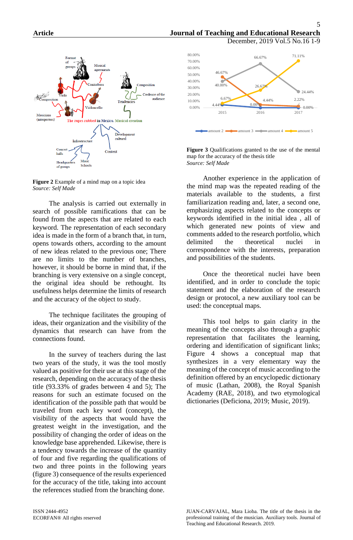

**Figure 2** Example of a mind map on a topic idea *Source: Self Made*

The analysis is carried out externally in search of possible ramifications that can be found from the aspects that are related to each keyword. The representation of each secondary idea is made in the form of a branch that, in turn, opens towards others, according to the amount of new ideas related to the previous one; There are no limits to the number of branches, however, it should be borne in mind that, if the branching is very extensive on a single concept, the original idea should be rethought. Its usefulness helps determine the limits of research and the accuracy of the object to study.

The technique facilitates the grouping of ideas, their organization and the visibility of the dynamics that research can have from the connections found.

In the survey of teachers during the last two years of the study, it was the tool mostly valued as positive for their use at this stage of the research, depending on the accuracy of the thesis title (93.33% of grades between 4 and 5); The reasons for such an estimate focused on the identification of the possible path that would be traveled from each key word (concept), the visibility of the aspects that would have the greatest weight in the investigation, and the possibility of changing the order of ideas on the knowledge base apprehended. Likewise, there is a tendency towards the increase of the quantity of four and five regarding the qualifications of two and three points in the following years (figure 3) consequence of the results experienced for the accuracy of the title, taking into account the references studied from the branching done.



**Figure 3** Qualifications granted to the use of the mental map for the accuracy of the thesis title *Source: Self Made*

Another experience in the application of the mind map was the repeated reading of the materials available to the students, a first familiarization reading and, later, a second one, emphasizing aspects related to the concepts or keywords identified in the initial idea , all of which generated new points of view and comments added to the research portfolio, which delimited the theoretical nuclei in correspondence with the interests, preparation and possibilities of the students.

Once the theoretical nuclei have been identified, and in order to conclude the topic statement and the elaboration of the research design or protocol, a new auxiliary tool can be used: the conceptual maps.

This tool helps to gain clarity in the meaning of the concepts also through a graphic representation that facilitates the learning, ordering and identification of significant links; Figure 4 shows a conceptual map that synthesizes in a very elementary way the meaning of the concept of music according to the definition offered by an encyclopedic dictionary of music (Lathan, 2008), the Royal Spanish Academy (RAE, 2018), and two etymological dictionaries (Deficiona, 2019; Music, 2019).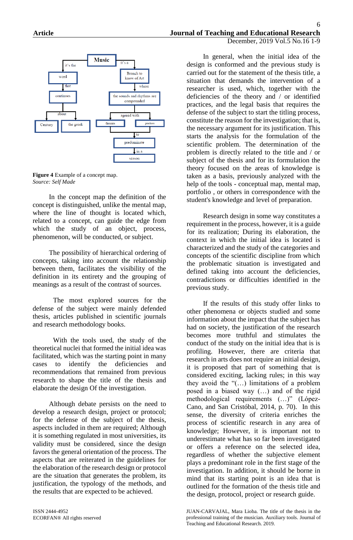

**Figure 4** Example of a concept map. *Source: Self Made*

In the concept map the definition of the concept is distinguished, unlike the mental map, where the line of thought is located which, related to a concept, can guide the edge from which the study of an object, process, phenomenon, will be conducted, or subject.

The possibility of hierarchical ordering of concepts, taking into account the relationship between them, facilitates the visibility of the definition in its entirety and the grouping of meanings as a result of the contrast of sources.

The most explored sources for the defense of the subject were mainly defended thesis, articles published in scientific journals and research methodology books.

With the tools used, the study of the theoretical nuclei that formed the initial idea was facilitated, which was the starting point in many cases to identify the deficiencies and recommendations that remained from previous research to shape the title of the thesis and elaborate the design Of the investigation.

Although debate persists on the need to develop a research design, project or protocol; for the defense of the subject of the thesis, aspects included in them are required; Although it is something regulated in most universities, its validity must be considered, since the design favors the general orientation of the process. The aspects that are reiterated in the guidelines for the elaboration of the research design or protocol are the situation that generates the problem, its justification, the typology of the methods, and the results that are expected to be achieved.

In general, when the initial idea of the design is conformed and the previous study is carried out for the statement of the thesis title, a situation that demands the intervention of a researcher is used, which, together with the deficiencies of the theory and / or identified practices, and the legal basis that requires the defense of the subject to start the titling process, constitute the reason for the investigation; that is, the necessary argument for its justification. This starts the analysis for the formulation of the scientific problem. The determination of the problem is directly related to the title and / or subject of the thesis and for its formulation the theory focused on the areas of knowledge is taken as a basis, previously analyzed with the help of the tools - conceptual map, mental map, portfolio , or others in correspondence with the student's knowledge and level of preparation.

Research design in some way constitutes a requirement in the process, however, it is a guide for its realization; During its elaboration, the context in which the initial idea is located is characterized and the study of the categories and concepts of the scientific discipline from which the problematic situation is investigated and defined taking into account the deficiencies, contradictions or difficulties identified in the previous study.

If the results of this study offer links to other phenomena or objects studied and some information about the impact that the subject has had on society, the justification of the research becomes more truthful and stimulates the conduct of the study on the initial idea that is is profiling. However, there are criteria that research in arts does not require an initial design, it is proposed that part of something that is considered exciting, lacking rules; in this way they avoid the "(…) limitations of a problem posed in a biased way (…) and of the rigid methodological requirements (…)" (López-Cano, and San Cristóbal, 2014, p. 70). In this sense, the diversity of criteria enriches the process of scientific research in any area of knowledge; However, it is important not to underestimate what has so far been investigated or offers a reference on the selected idea, regardless of whether the subjective element plays a predominant role in the first stage of the investigation. In addition, it should be borne in mind that its starting point is an idea that is outlined for the formation of the thesis title and the design, protocol, project or research guide.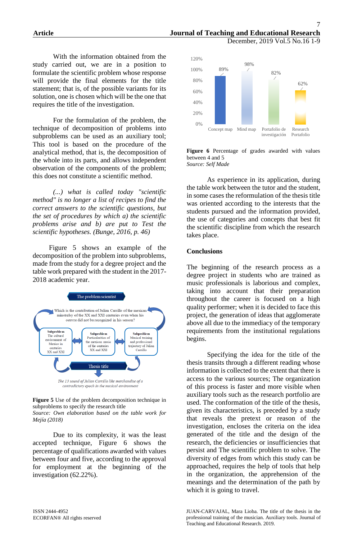With the information obtained from the study carried out, we are in a position to formulate the scientific problem whose response will provide the final elements for the title statement; that is, of the possible variants for its solution, one is chosen which will be the one that requires the title of the investigation.

For the formulation of the problem, the technique of decomposition of problems into subproblems can be used as an auxiliary tool; This tool is based on the procedure of the analytical method, that is, the decomposition of the whole into its parts, and allows independent observation of the components of the problem; this does not constitute a scientific method.

*(...) what is called today "scientific method" is no longer a list of recipes to find the correct answers to the scientific questions, but the set of procedures by which a) the scientific problems arise and b) are put to Test the scientific hypotheses. (Bunge, 2016, p. 46)*

Figure 5 shows an example of the decomposition of the problem into subproblems, made from the study for a degree project and the table work prepared with the student in the 2017- 2018 academic year.



**Figure 5** Use of the problem decomposition technique in subproblems to specify the research title *Source: Own elaboration based on the table work for Mejía (2018)*

Due to its complexity, it was the least accepted technique, Figure 6 shows the percentage of qualifications awarded with values between four and five, according to the approval for employment at the beginning of the investigation (62.22%).



**Figure 6** Percentage of grades awarded with values between 4 and 5 *Source: Self Made*

As experience in its application, during the table work between the tutor and the student, in some cases the reformulation of the thesis title was oriented according to the interests that the students pursued and the information provided, the use of categories and concepts that best fit the scientific discipline from which the research takes place.

### **Conclusions**

The beginning of the research process as a degree project in students who are trained as music professionals is laborious and complex, taking into account that their preparation throughout the career is focused on a high quality performer; when it is decided to face this project, the generation of ideas that agglomerate above all due to the immediacy of the temporary requirements from the institutional regulations begins.

Specifying the idea for the title of the thesis transits through a different reading whose information is collected to the extent that there is access to the various sources; The organization of this process is faster and more visible when auxiliary tools such as the research portfolio are used. The conformation of the title of the thesis, given its characteristics, is preceded by a study that reveals the pretext or reason of the investigation, encloses the criteria on the idea generated of the title and the design of the research, the deficiencies or insufficiencies that persist and The scientific problem to solve. The diversity of edges from which this study can be approached, requires the help of tools that help in the organization, the apprehension of the meanings and the determination of the path by which it is going to travel.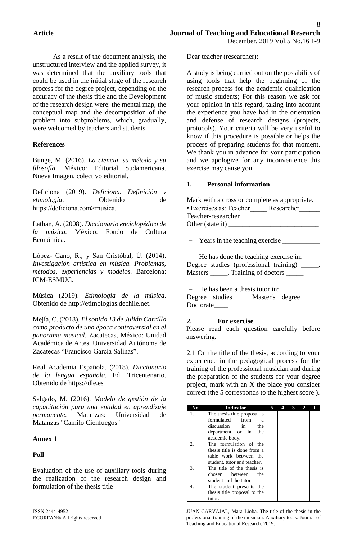As a result of the document analysis, the unstructured interview and the applied survey, it was determined that the auxiliary tools that could be used in the initial stage of the research process for the degree project, depending on the accuracy of the thesis title and the Development of the research design were: the mental map, the conceptual map and the decomposition of the problem into subproblems, which, gradually, were welcomed by teachers and students.

## **References**

Bunge, M. (2016). *La ciencia, su método y su filosofía*. México: Editorial Sudamericana. Nueva Imagen, colectivo editorial.

Deficiona (2019). *Deficiona. Definición y etimología*. Obtenido de https://deficiona.com>musica.

Lathan, A. (2008). *Diccionario enciclopédico de la música.* México: Fondo de Cultura Económica.

López- Cano, R.; y San Cristóbal, Ú. (2014). *Investigación artística en música. Problemas, métodos, experiencias y modelos.* Barcelona: ICM-ESMUC.

Música (2019). *Etimología de la música*. Obtenido de http://etimologías.dechile.net.

Mejía, C. (2018). *El sonido 13 de Julián Carrillo como producto de una época controversial en el panorama musical.* Zacatecas, México: Unidad Académica de Artes. Universidad Autónoma de Zacatecas "Francisco García Salinas".

Real Academia Española. (2018). *Diccionario de la lengua española.* Ed. Tricentenario. Obtenido de https://dle.es

Salgado, M. (2016). *Modelo de gestión de la capacitación para una entidad en aprendizaje permanente.* Matanzas: Universidad de Matanzas "Camilo Cienfuegos"

### **Annex 1**

# **Poll**

Evaluation of the use of auxiliary tools during the realization of the research design and formulation of the thesis title

Dear teacher (researcher):

A study is being carried out on the possibility of using tools that help the beginning of the research process for the academic qualification of music students; For this reason we ask for your opinion in this regard, taking into account the experience you have had in the orientation and defense of research designs (projects, protocols). Your criteria will be very useful to know if this procedure is possible or helps the process of preparing students for that moment. We thank you in advance for your participation and we apologize for any inconvenience this exercise may cause you.

### **1. Personal information**

| Mark with a cross or complete as appropriate. |            |  |  |  |  |  |
|-----------------------------------------------|------------|--|--|--|--|--|
| • Exercises as: Teacher                       | Researcher |  |  |  |  |  |
| Teacher-researcher                            |            |  |  |  |  |  |
| Other (state it)                              |            |  |  |  |  |  |

Years in the teaching exercise \_\_\_\_\_\_\_\_\_\_\_

- He has done the teaching exercise in: Degree studies (professional training) Masters \_\_\_\_\_, Training of doctors \_\_\_\_\_\_\_

- He has been a thesis tutor in: Degree studies\_\_\_\_\_ Master's degree \_ Doctorate\_\_\_\_

### **2. For exercise**

Please read each question carefully before answering.

2.1 On the title of the thesis, according to your experience in the pedagogical process for the training of the professional musician and during the preparation of the students for your degree project, mark with an X the place you consider correct (the 5 corresponds to the highest score ).

| No. | <b>Indicator</b>             | 5 | 4 | $\mathbf{G}$ | $\overline{2}$ |  |
|-----|------------------------------|---|---|--------------|----------------|--|
| 1.  | The thesis title proposal is |   |   |              |                |  |
|     | formulated from<br>a         |   |   |              |                |  |
|     | discussion in<br>the         |   |   |              |                |  |
|     | department or in the         |   |   |              |                |  |
|     | academic body.               |   |   |              |                |  |
| 2.  | The formulation of the       |   |   |              |                |  |
|     | thesis title is done from a  |   |   |              |                |  |
|     | table work between the       |   |   |              |                |  |
|     | student, tutor and teacher.  |   |   |              |                |  |
| 3.  | The title of the thesis is   |   |   |              |                |  |
|     | chosen between<br>the        |   |   |              |                |  |
|     | student and the tutor        |   |   |              |                |  |
| 4.  | The student presents the     |   |   |              |                |  |
|     | thesis title proposal to the |   |   |              |                |  |
|     | tutor.                       |   |   |              |                |  |